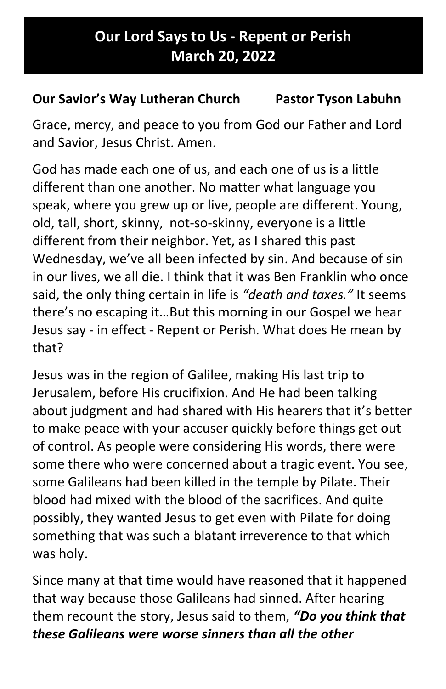## Our Lord Says to Us - Repent or Perish March 20, 2022

## Our Savior's Way Lutheran Church Pastor Tyson Labuhn

Grace, mercy, and peace to you from God our Father and Lord and Savior, Jesus Christ. Amen.

God has made each one of us, and each one of us is a little different than one another. No matter what language you speak, where you grew up or live, people are different. Young, old, tall, short, skinny, not-so-skinny, everyone is a little different from their neighbor. Yet, as I shared this past Wednesday, we've all been infected by sin. And because of sin in our lives, we all die. I think that it was Ben Franklin who once said, the only thing certain in life is "death and taxes." It seems there's no escaping it…But this morning in our Gospel we hear Jesus say - in effect - Repent or Perish. What does He mean by that?

Jesus was in the region of Galilee, making His last trip to Jerusalem, before His crucifixion. And He had been talking about judgment and had shared with His hearers that it's better to make peace with your accuser quickly before things get out of control. As people were considering His words, there were some there who were concerned about a tragic event. You see, some Galileans had been killed in the temple by Pilate. Their blood had mixed with the blood of the sacrifices. And quite possibly, they wanted Jesus to get even with Pilate for doing something that was such a blatant irreverence to that which was holy.

Since many at that time would have reasoned that it happened that way because those Galileans had sinned. After hearing them recount the story, Jesus said to them, "Do you think that these Galileans were worse sinners than all the other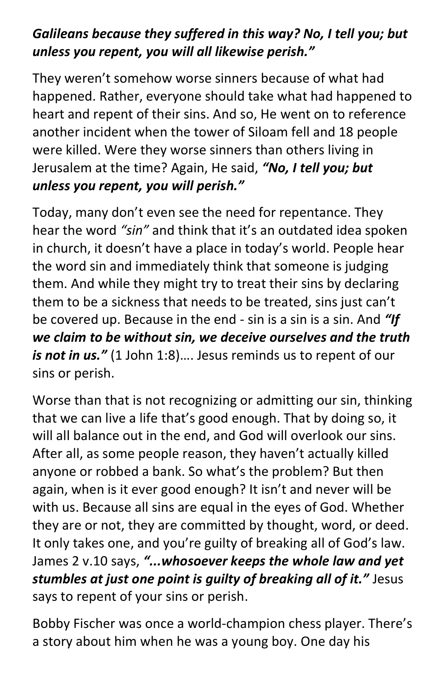## Galileans because they suffered in this way? No, I tell you; but unless you repent, you will all likewise perish."

They weren't somehow worse sinners because of what had happened. Rather, everyone should take what had happened to heart and repent of their sins. And so, He went on to reference another incident when the tower of Siloam fell and 18 people were killed. Were they worse sinners than others living in Jerusalem at the time? Again, He said, "No, I tell you; but unless you repent, you will perish."

Today, many don't even see the need for repentance. They hear the word "sin" and think that it's an outdated idea spoken in church, it doesn't have a place in today's world. People hear the word sin and immediately think that someone is judging them. And while they might try to treat their sins by declaring them to be a sickness that needs to be treated, sins just can't be covered up. Because in the end - sin is a sin is a sin. And "If we claim to be without sin, we deceive ourselves and the truth is not in us." (1 John 1:8).... Jesus reminds us to repent of our sins or perish.

Worse than that is not recognizing or admitting our sin, thinking that we can live a life that's good enough. That by doing so, it will all balance out in the end, and God will overlook our sins. After all, as some people reason, they haven't actually killed anyone or robbed a bank. So what's the problem? But then again, when is it ever good enough? It isn't and never will be with us. Because all sins are equal in the eyes of God. Whether they are or not, they are committed by thought, word, or deed. It only takes one, and you're guilty of breaking all of God's law. James 2 v.10 says, "...whosoever keeps the whole law and yet stumbles at just one point is quilty of breaking all of it." Jesus says to repent of your sins or perish.

Bobby Fischer was once a world-champion chess player. There's a story about him when he was a young boy. One day his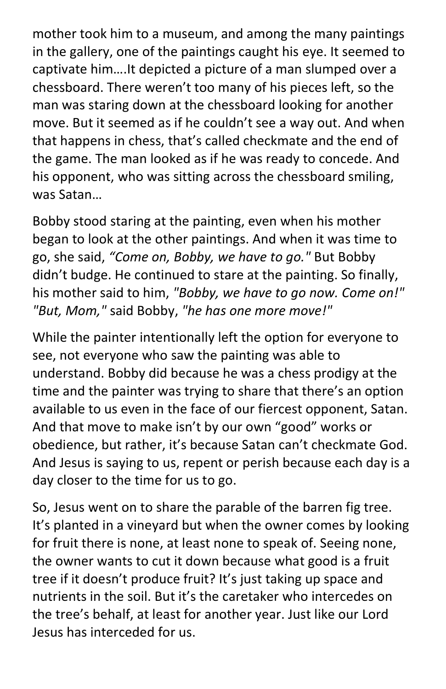mother took him to a museum, and among the many paintings in the gallery, one of the paintings caught his eye. It seemed to captivate him….It depicted a picture of a man slumped over a chessboard. There weren't too many of his pieces left, so the man was staring down at the chessboard looking for another move. But it seemed as if he couldn't see a way out. And when that happens in chess, that's called checkmate and the end of the game. The man looked as if he was ready to concede. And his opponent, who was sitting across the chessboard smiling, was Satan…

Bobby stood staring at the painting, even when his mother began to look at the other paintings. And when it was time to go, she said, "Come on, Bobby, we have to go." But Bobby didn't budge. He continued to stare at the painting. So finally, his mother said to him, "Bobby, we have to go now. Come on!" "But, Mom," said Bobby, "he has one more move!"

While the painter intentionally left the option for everyone to see, not everyone who saw the painting was able to understand. Bobby did because he was a chess prodigy at the time and the painter was trying to share that there's an option available to us even in the face of our fiercest opponent, Satan. And that move to make isn't by our own "good" works or obedience, but rather, it's because Satan can't checkmate God. And Jesus is saying to us, repent or perish because each day is a day closer to the time for us to go.

So, Jesus went on to share the parable of the barren fig tree. It's planted in a vineyard but when the owner comes by looking for fruit there is none, at least none to speak of. Seeing none, the owner wants to cut it down because what good is a fruit tree if it doesn't produce fruit? It's just taking up space and nutrients in the soil. But it's the caretaker who intercedes on the tree's behalf, at least for another year. Just like our Lord Jesus has interceded for us.